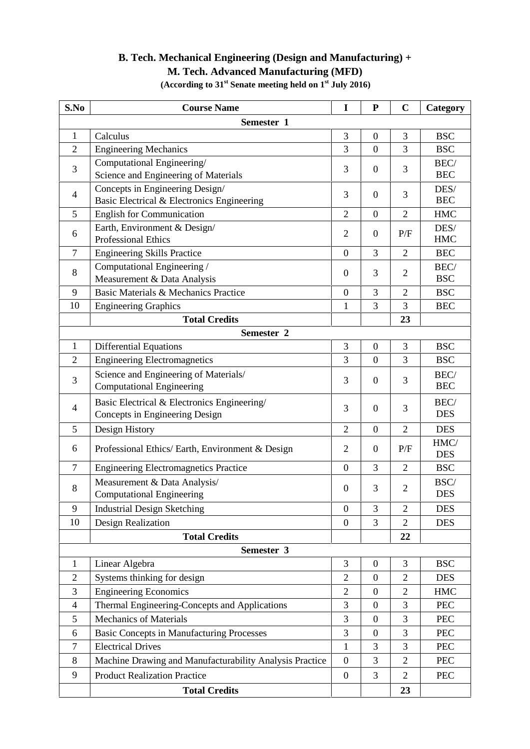## **B. Tech. Mechanical Engineering (Design and Manufacturing) + M. Tech. Advanced Manufacturing (MFD)**

| S.No           | <b>Course Name</b>                                                            | I                | ${\bf P}$        | $\mathbf C$    | Category           |
|----------------|-------------------------------------------------------------------------------|------------------|------------------|----------------|--------------------|
|                | Semester 1                                                                    |                  |                  |                |                    |
| $\mathbf{1}$   | Calculus                                                                      | $\mathfrak{Z}$   | $\boldsymbol{0}$ | 3              | <b>BSC</b>         |
| $\overline{2}$ | <b>Engineering Mechanics</b>                                                  | 3                | $\overline{0}$   | 3              | <b>BSC</b>         |
| 3              | Computational Engineering/<br>Science and Engineering of Materials            | 3                | $\boldsymbol{0}$ | 3              | BEC/<br><b>BEC</b> |
| 4              | Concepts in Engineering Design/<br>Basic Electrical & Electronics Engineering | 3                | $\boldsymbol{0}$ | 3              | DES/<br><b>BEC</b> |
| 5              | <b>English for Communication</b>                                              | $\overline{2}$   | $\boldsymbol{0}$ | $\overline{2}$ | <b>HMC</b>         |
| 6              | Earth, Environment & Design/<br><b>Professional Ethics</b>                    | $\overline{2}$   | $\boldsymbol{0}$ | P/F            | DES/<br><b>HMC</b> |
| $\tau$         | <b>Engineering Skills Practice</b>                                            | $\overline{0}$   | 3                | $\overline{2}$ | <b>BEC</b>         |
| 8              | Computational Engineering /<br>Measurement & Data Analysis                    | $\mathbf{0}$     | 3                | $\overline{2}$ | BEC/<br><b>BSC</b> |
| 9              | Basic Materials & Mechanics Practice                                          | $\boldsymbol{0}$ | 3                | $\overline{2}$ | <b>BSC</b>         |
| 10             | <b>Engineering Graphics</b>                                                   | $\mathbf{1}$     | 3                | 3              | <b>BEC</b>         |
|                | <b>Total Credits</b>                                                          |                  |                  | 23             |                    |
|                | Semester <sub>2</sub>                                                         |                  |                  |                |                    |
| $\mathbf{1}$   | <b>Differential Equations</b>                                                 | 3                | $\boldsymbol{0}$ | 3              | <b>BSC</b>         |
| $\overline{2}$ | <b>Engineering Electromagnetics</b>                                           | 3                | $\overline{0}$   | 3              | <b>BSC</b>         |
| 3              | Science and Engineering of Materials/<br><b>Computational Engineering</b>     | 3                | $\boldsymbol{0}$ | 3              | BEC/<br><b>BEC</b> |
| 4              | Basic Electrical & Electronics Engineering/<br>Concepts in Engineering Design | 3                | $\boldsymbol{0}$ | 3              | BEC/<br><b>DES</b> |
| 5              | Design History                                                                | $\overline{2}$   | $\overline{0}$   | $\overline{2}$ | <b>DES</b>         |
| 6              | Professional Ethics/ Earth, Environment & Design                              | $\mathfrak{2}$   | $\boldsymbol{0}$ | P/F            | HMC/<br><b>DES</b> |
| 7              | <b>Engineering Electromagnetics Practice</b>                                  | $\boldsymbol{0}$ | 3                | $\overline{2}$ | <b>BSC</b>         |
| 8              | Measurement & Data Analysis/<br><b>Computational Engineering</b>              | $\boldsymbol{0}$ | 3                | $\overline{2}$ | BSC/<br><b>DES</b> |
| 9              | <b>Industrial Design Sketching</b>                                            | $\overline{0}$   | 3                | $\overline{2}$ | <b>DES</b>         |
| 10             | Design Realization                                                            | $\boldsymbol{0}$ | $\overline{3}$   | $\overline{2}$ | <b>DES</b>         |
|                | <b>Total Credits</b>                                                          |                  |                  | 22             |                    |
|                | Semester 3                                                                    |                  |                  |                |                    |
| $\mathbf{1}$   | Linear Algebra                                                                | $\mathfrak{Z}$   | $\boldsymbol{0}$ | 3              | <b>BSC</b>         |
| $\overline{2}$ | Systems thinking for design                                                   | $\overline{2}$   | $\overline{0}$   | $\overline{2}$ | <b>DES</b>         |
| 3              | <b>Engineering Economics</b>                                                  | $\overline{2}$   | $\boldsymbol{0}$ | $\overline{2}$ | <b>HMC</b>         |
| $\overline{4}$ | Thermal Engineering-Concepts and Applications                                 | 3                | $\overline{0}$   | 3              | PEC                |
| 5              | <b>Mechanics of Materials</b>                                                 | 3                | $\boldsymbol{0}$ | 3              | PEC                |
| 6              | <b>Basic Concepts in Manufacturing Processes</b>                              | $\mathfrak{Z}$   | $\boldsymbol{0}$ | 3              | <b>PEC</b>         |
| $\tau$         | <b>Electrical Drives</b>                                                      | $\mathbf{1}$     | 3                | 3              | PEC                |
| 8              | Machine Drawing and Manufacturability Analysis Practice                       | $\boldsymbol{0}$ | 3                | $\overline{2}$ | <b>PEC</b>         |
| 9              | <b>Product Realization Practice</b>                                           | $\boldsymbol{0}$ | 3                | $\overline{2}$ | <b>PEC</b>         |
|                | <b>Total Credits</b>                                                          |                  |                  | 23             |                    |

**(According to 31st Senate meeting held on 1st July 2016)**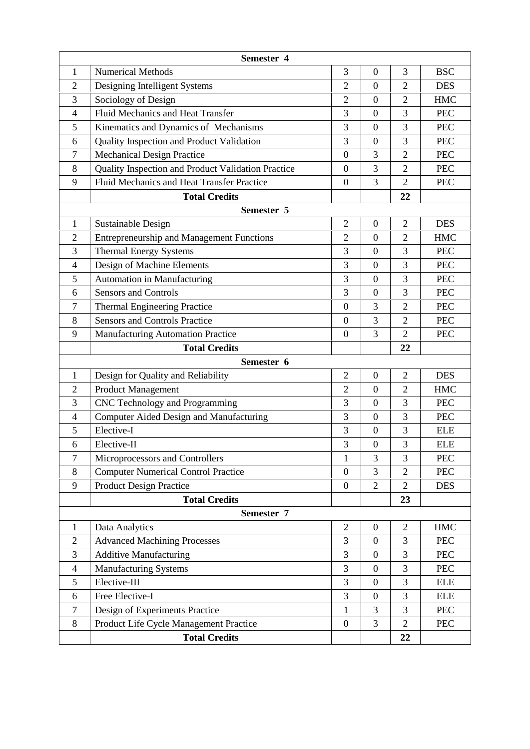| <b>Numerical Methods</b><br>3<br>3<br><b>BSC</b><br>1<br>$\boldsymbol{0}$<br>Designing Intelligent Systems<br>$\overline{2}$<br>$\overline{2}$<br>$\overline{0}$<br>$\overline{2}$<br><b>DES</b><br>$\overline{2}$<br>3<br>Sociology of Design<br>$\overline{0}$<br>$\overline{2}$<br><b>HMC</b><br>Fluid Mechanics and Heat Transfer<br>3<br>$\overline{0}$<br>3<br><b>PEC</b><br>$\overline{4}$<br>Kinematics and Dynamics of Mechanisms<br>3<br>3<br>5<br>$\boldsymbol{0}$<br><b>PEC</b><br>3<br>3<br>Quality Inspection and Product Validation<br>$\overline{0}$<br><b>PEC</b><br>6<br>3<br><b>Mechanical Design Practice</b><br>$\overline{2}$<br>7<br>$\boldsymbol{0}$<br><b>PEC</b><br>3<br>Quality Inspection and Product Validation Practice<br>$\overline{2}$<br>8<br>$\boldsymbol{0}$<br><b>PEC</b><br>3<br>Fluid Mechanics and Heat Transfer Practice<br>9<br>$\overline{2}$<br>$\mathbf{0}$<br><b>PEC</b><br><b>Total Credits</b><br>22<br>Semester 5<br>$\overline{2}$<br>$\overline{2}$<br>Sustainable Design<br>$\boldsymbol{0}$<br><b>DES</b><br>$\mathbf{1}$<br><b>Entrepreneurship and Management Functions</b><br>$\overline{2}$<br>$\overline{0}$<br>$\overline{2}$<br><b>HMC</b><br>2<br><b>Thermal Energy Systems</b><br>3<br>3<br>$\overline{0}$<br>3<br><b>PEC</b><br>Design of Machine Elements<br>3<br>3<br>$\boldsymbol{0}$<br><b>PEC</b><br>4<br>3<br>3<br>Automation in Manufacturing<br>$\overline{0}$<br>5<br><b>PEC</b><br>3<br><b>Sensors and Controls</b><br>3<br>$\boldsymbol{0}$<br><b>PEC</b><br>6<br>3<br><b>Thermal Engineering Practice</b><br>$\overline{2}$<br>7<br>$\mathbf{0}$<br><b>PEC</b><br><b>Sensors and Controls Practice</b><br>3<br>$\overline{2}$<br>8<br>$\mathbf{0}$<br><b>PEC</b><br>3<br>$\overline{2}$<br>9<br>$\boldsymbol{0}$<br><b>PEC</b><br>Manufacturing Automation Practice<br><b>Total Credits</b><br>22<br>Semester 6<br>$\overline{2}$<br>$\overline{0}$<br>$\overline{2}$<br>$\mathbf{1}$<br>Design for Quality and Reliability<br><b>DES</b><br>Product Management<br>$\overline{2}$<br>$\overline{0}$<br>$\overline{2}$<br>$\overline{2}$<br><b>HMC</b><br>$\mathfrak{Z}$<br>CNC Technology and Programming<br>3<br>3<br>$\boldsymbol{0}$<br><b>PEC</b><br>Computer Aided Design and Manufacturing<br>3<br>3<br>$\overline{0}$<br><b>PEC</b><br>$\overline{4}$<br>$\mathfrak{Z}$<br>Elective-I<br>3<br>5<br>$\boldsymbol{0}$<br><b>ELE</b><br>3<br>$\overline{0}$<br>3<br><b>ELE</b><br>Elective-II<br>6<br>$\overline{7}$<br>3<br>3<br>Microprocessors and Controllers<br>$\mathbf{1}$<br>PEC<br>3<br><b>Computer Numerical Control Practice</b><br>$\overline{0}$<br>$\overline{2}$<br>8<br><b>PEC</b> |
|-----------------------------------------------------------------------------------------------------------------------------------------------------------------------------------------------------------------------------------------------------------------------------------------------------------------------------------------------------------------------------------------------------------------------------------------------------------------------------------------------------------------------------------------------------------------------------------------------------------------------------------------------------------------------------------------------------------------------------------------------------------------------------------------------------------------------------------------------------------------------------------------------------------------------------------------------------------------------------------------------------------------------------------------------------------------------------------------------------------------------------------------------------------------------------------------------------------------------------------------------------------------------------------------------------------------------------------------------------------------------------------------------------------------------------------------------------------------------------------------------------------------------------------------------------------------------------------------------------------------------------------------------------------------------------------------------------------------------------------------------------------------------------------------------------------------------------------------------------------------------------------------------------------------------------------------------------------------------------------------------------------------------------------------------------------------------------------------------------------------------------------------------------------------------------------------------------------------------------------------------------------------------------------------------------------------------------------------------------------------------------------------------------------------------------------------------------------------------------------------------------------------------------------------------------------------------------------------------------------------------------------------------------------------------------------|
|                                                                                                                                                                                                                                                                                                                                                                                                                                                                                                                                                                                                                                                                                                                                                                                                                                                                                                                                                                                                                                                                                                                                                                                                                                                                                                                                                                                                                                                                                                                                                                                                                                                                                                                                                                                                                                                                                                                                                                                                                                                                                                                                                                                                                                                                                                                                                                                                                                                                                                                                                                                                                                                                                   |
|                                                                                                                                                                                                                                                                                                                                                                                                                                                                                                                                                                                                                                                                                                                                                                                                                                                                                                                                                                                                                                                                                                                                                                                                                                                                                                                                                                                                                                                                                                                                                                                                                                                                                                                                                                                                                                                                                                                                                                                                                                                                                                                                                                                                                                                                                                                                                                                                                                                                                                                                                                                                                                                                                   |
|                                                                                                                                                                                                                                                                                                                                                                                                                                                                                                                                                                                                                                                                                                                                                                                                                                                                                                                                                                                                                                                                                                                                                                                                                                                                                                                                                                                                                                                                                                                                                                                                                                                                                                                                                                                                                                                                                                                                                                                                                                                                                                                                                                                                                                                                                                                                                                                                                                                                                                                                                                                                                                                                                   |
|                                                                                                                                                                                                                                                                                                                                                                                                                                                                                                                                                                                                                                                                                                                                                                                                                                                                                                                                                                                                                                                                                                                                                                                                                                                                                                                                                                                                                                                                                                                                                                                                                                                                                                                                                                                                                                                                                                                                                                                                                                                                                                                                                                                                                                                                                                                                                                                                                                                                                                                                                                                                                                                                                   |
|                                                                                                                                                                                                                                                                                                                                                                                                                                                                                                                                                                                                                                                                                                                                                                                                                                                                                                                                                                                                                                                                                                                                                                                                                                                                                                                                                                                                                                                                                                                                                                                                                                                                                                                                                                                                                                                                                                                                                                                                                                                                                                                                                                                                                                                                                                                                                                                                                                                                                                                                                                                                                                                                                   |
|                                                                                                                                                                                                                                                                                                                                                                                                                                                                                                                                                                                                                                                                                                                                                                                                                                                                                                                                                                                                                                                                                                                                                                                                                                                                                                                                                                                                                                                                                                                                                                                                                                                                                                                                                                                                                                                                                                                                                                                                                                                                                                                                                                                                                                                                                                                                                                                                                                                                                                                                                                                                                                                                                   |
|                                                                                                                                                                                                                                                                                                                                                                                                                                                                                                                                                                                                                                                                                                                                                                                                                                                                                                                                                                                                                                                                                                                                                                                                                                                                                                                                                                                                                                                                                                                                                                                                                                                                                                                                                                                                                                                                                                                                                                                                                                                                                                                                                                                                                                                                                                                                                                                                                                                                                                                                                                                                                                                                                   |
|                                                                                                                                                                                                                                                                                                                                                                                                                                                                                                                                                                                                                                                                                                                                                                                                                                                                                                                                                                                                                                                                                                                                                                                                                                                                                                                                                                                                                                                                                                                                                                                                                                                                                                                                                                                                                                                                                                                                                                                                                                                                                                                                                                                                                                                                                                                                                                                                                                                                                                                                                                                                                                                                                   |
|                                                                                                                                                                                                                                                                                                                                                                                                                                                                                                                                                                                                                                                                                                                                                                                                                                                                                                                                                                                                                                                                                                                                                                                                                                                                                                                                                                                                                                                                                                                                                                                                                                                                                                                                                                                                                                                                                                                                                                                                                                                                                                                                                                                                                                                                                                                                                                                                                                                                                                                                                                                                                                                                                   |
|                                                                                                                                                                                                                                                                                                                                                                                                                                                                                                                                                                                                                                                                                                                                                                                                                                                                                                                                                                                                                                                                                                                                                                                                                                                                                                                                                                                                                                                                                                                                                                                                                                                                                                                                                                                                                                                                                                                                                                                                                                                                                                                                                                                                                                                                                                                                                                                                                                                                                                                                                                                                                                                                                   |
|                                                                                                                                                                                                                                                                                                                                                                                                                                                                                                                                                                                                                                                                                                                                                                                                                                                                                                                                                                                                                                                                                                                                                                                                                                                                                                                                                                                                                                                                                                                                                                                                                                                                                                                                                                                                                                                                                                                                                                                                                                                                                                                                                                                                                                                                                                                                                                                                                                                                                                                                                                                                                                                                                   |
|                                                                                                                                                                                                                                                                                                                                                                                                                                                                                                                                                                                                                                                                                                                                                                                                                                                                                                                                                                                                                                                                                                                                                                                                                                                                                                                                                                                                                                                                                                                                                                                                                                                                                                                                                                                                                                                                                                                                                                                                                                                                                                                                                                                                                                                                                                                                                                                                                                                                                                                                                                                                                                                                                   |
|                                                                                                                                                                                                                                                                                                                                                                                                                                                                                                                                                                                                                                                                                                                                                                                                                                                                                                                                                                                                                                                                                                                                                                                                                                                                                                                                                                                                                                                                                                                                                                                                                                                                                                                                                                                                                                                                                                                                                                                                                                                                                                                                                                                                                                                                                                                                                                                                                                                                                                                                                                                                                                                                                   |
|                                                                                                                                                                                                                                                                                                                                                                                                                                                                                                                                                                                                                                                                                                                                                                                                                                                                                                                                                                                                                                                                                                                                                                                                                                                                                                                                                                                                                                                                                                                                                                                                                                                                                                                                                                                                                                                                                                                                                                                                                                                                                                                                                                                                                                                                                                                                                                                                                                                                                                                                                                                                                                                                                   |
|                                                                                                                                                                                                                                                                                                                                                                                                                                                                                                                                                                                                                                                                                                                                                                                                                                                                                                                                                                                                                                                                                                                                                                                                                                                                                                                                                                                                                                                                                                                                                                                                                                                                                                                                                                                                                                                                                                                                                                                                                                                                                                                                                                                                                                                                                                                                                                                                                                                                                                                                                                                                                                                                                   |
|                                                                                                                                                                                                                                                                                                                                                                                                                                                                                                                                                                                                                                                                                                                                                                                                                                                                                                                                                                                                                                                                                                                                                                                                                                                                                                                                                                                                                                                                                                                                                                                                                                                                                                                                                                                                                                                                                                                                                                                                                                                                                                                                                                                                                                                                                                                                                                                                                                                                                                                                                                                                                                                                                   |
|                                                                                                                                                                                                                                                                                                                                                                                                                                                                                                                                                                                                                                                                                                                                                                                                                                                                                                                                                                                                                                                                                                                                                                                                                                                                                                                                                                                                                                                                                                                                                                                                                                                                                                                                                                                                                                                                                                                                                                                                                                                                                                                                                                                                                                                                                                                                                                                                                                                                                                                                                                                                                                                                                   |
|                                                                                                                                                                                                                                                                                                                                                                                                                                                                                                                                                                                                                                                                                                                                                                                                                                                                                                                                                                                                                                                                                                                                                                                                                                                                                                                                                                                                                                                                                                                                                                                                                                                                                                                                                                                                                                                                                                                                                                                                                                                                                                                                                                                                                                                                                                                                                                                                                                                                                                                                                                                                                                                                                   |
|                                                                                                                                                                                                                                                                                                                                                                                                                                                                                                                                                                                                                                                                                                                                                                                                                                                                                                                                                                                                                                                                                                                                                                                                                                                                                                                                                                                                                                                                                                                                                                                                                                                                                                                                                                                                                                                                                                                                                                                                                                                                                                                                                                                                                                                                                                                                                                                                                                                                                                                                                                                                                                                                                   |
|                                                                                                                                                                                                                                                                                                                                                                                                                                                                                                                                                                                                                                                                                                                                                                                                                                                                                                                                                                                                                                                                                                                                                                                                                                                                                                                                                                                                                                                                                                                                                                                                                                                                                                                                                                                                                                                                                                                                                                                                                                                                                                                                                                                                                                                                                                                                                                                                                                                                                                                                                                                                                                                                                   |
|                                                                                                                                                                                                                                                                                                                                                                                                                                                                                                                                                                                                                                                                                                                                                                                                                                                                                                                                                                                                                                                                                                                                                                                                                                                                                                                                                                                                                                                                                                                                                                                                                                                                                                                                                                                                                                                                                                                                                                                                                                                                                                                                                                                                                                                                                                                                                                                                                                                                                                                                                                                                                                                                                   |
|                                                                                                                                                                                                                                                                                                                                                                                                                                                                                                                                                                                                                                                                                                                                                                                                                                                                                                                                                                                                                                                                                                                                                                                                                                                                                                                                                                                                                                                                                                                                                                                                                                                                                                                                                                                                                                                                                                                                                                                                                                                                                                                                                                                                                                                                                                                                                                                                                                                                                                                                                                                                                                                                                   |
|                                                                                                                                                                                                                                                                                                                                                                                                                                                                                                                                                                                                                                                                                                                                                                                                                                                                                                                                                                                                                                                                                                                                                                                                                                                                                                                                                                                                                                                                                                                                                                                                                                                                                                                                                                                                                                                                                                                                                                                                                                                                                                                                                                                                                                                                                                                                                                                                                                                                                                                                                                                                                                                                                   |
|                                                                                                                                                                                                                                                                                                                                                                                                                                                                                                                                                                                                                                                                                                                                                                                                                                                                                                                                                                                                                                                                                                                                                                                                                                                                                                                                                                                                                                                                                                                                                                                                                                                                                                                                                                                                                                                                                                                                                                                                                                                                                                                                                                                                                                                                                                                                                                                                                                                                                                                                                                                                                                                                                   |
|                                                                                                                                                                                                                                                                                                                                                                                                                                                                                                                                                                                                                                                                                                                                                                                                                                                                                                                                                                                                                                                                                                                                                                                                                                                                                                                                                                                                                                                                                                                                                                                                                                                                                                                                                                                                                                                                                                                                                                                                                                                                                                                                                                                                                                                                                                                                                                                                                                                                                                                                                                                                                                                                                   |
|                                                                                                                                                                                                                                                                                                                                                                                                                                                                                                                                                                                                                                                                                                                                                                                                                                                                                                                                                                                                                                                                                                                                                                                                                                                                                                                                                                                                                                                                                                                                                                                                                                                                                                                                                                                                                                                                                                                                                                                                                                                                                                                                                                                                                                                                                                                                                                                                                                                                                                                                                                                                                                                                                   |
|                                                                                                                                                                                                                                                                                                                                                                                                                                                                                                                                                                                                                                                                                                                                                                                                                                                                                                                                                                                                                                                                                                                                                                                                                                                                                                                                                                                                                                                                                                                                                                                                                                                                                                                                                                                                                                                                                                                                                                                                                                                                                                                                                                                                                                                                                                                                                                                                                                                                                                                                                                                                                                                                                   |
|                                                                                                                                                                                                                                                                                                                                                                                                                                                                                                                                                                                                                                                                                                                                                                                                                                                                                                                                                                                                                                                                                                                                                                                                                                                                                                                                                                                                                                                                                                                                                                                                                                                                                                                                                                                                                                                                                                                                                                                                                                                                                                                                                                                                                                                                                                                                                                                                                                                                                                                                                                                                                                                                                   |
|                                                                                                                                                                                                                                                                                                                                                                                                                                                                                                                                                                                                                                                                                                                                                                                                                                                                                                                                                                                                                                                                                                                                                                                                                                                                                                                                                                                                                                                                                                                                                                                                                                                                                                                                                                                                                                                                                                                                                                                                                                                                                                                                                                                                                                                                                                                                                                                                                                                                                                                                                                                                                                                                                   |
|                                                                                                                                                                                                                                                                                                                                                                                                                                                                                                                                                                                                                                                                                                                                                                                                                                                                                                                                                                                                                                                                                                                                                                                                                                                                                                                                                                                                                                                                                                                                                                                                                                                                                                                                                                                                                                                                                                                                                                                                                                                                                                                                                                                                                                                                                                                                                                                                                                                                                                                                                                                                                                                                                   |
| <b>Product Design Practice</b><br>$\overline{2}$<br>9<br>$\overline{2}$<br>$\boldsymbol{0}$<br><b>DES</b>                                                                                                                                                                                                                                                                                                                                                                                                                                                                                                                                                                                                                                                                                                                                                                                                                                                                                                                                                                                                                                                                                                                                                                                                                                                                                                                                                                                                                                                                                                                                                                                                                                                                                                                                                                                                                                                                                                                                                                                                                                                                                                                                                                                                                                                                                                                                                                                                                                                                                                                                                                         |
| <b>Total Credits</b><br>23                                                                                                                                                                                                                                                                                                                                                                                                                                                                                                                                                                                                                                                                                                                                                                                                                                                                                                                                                                                                                                                                                                                                                                                                                                                                                                                                                                                                                                                                                                                                                                                                                                                                                                                                                                                                                                                                                                                                                                                                                                                                                                                                                                                                                                                                                                                                                                                                                                                                                                                                                                                                                                                        |
| Semester 7                                                                                                                                                                                                                                                                                                                                                                                                                                                                                                                                                                                                                                                                                                                                                                                                                                                                                                                                                                                                                                                                                                                                                                                                                                                                                                                                                                                                                                                                                                                                                                                                                                                                                                                                                                                                                                                                                                                                                                                                                                                                                                                                                                                                                                                                                                                                                                                                                                                                                                                                                                                                                                                                        |
| $\overline{2}$<br>Data Analytics<br>$\boldsymbol{0}$<br>$\overline{2}$<br><b>HMC</b><br>1                                                                                                                                                                                                                                                                                                                                                                                                                                                                                                                                                                                                                                                                                                                                                                                                                                                                                                                                                                                                                                                                                                                                                                                                                                                                                                                                                                                                                                                                                                                                                                                                                                                                                                                                                                                                                                                                                                                                                                                                                                                                                                                                                                                                                                                                                                                                                                                                                                                                                                                                                                                         |
| 3<br>3<br>$\overline{0}$<br><b>Advanced Machining Processes</b><br>$\overline{2}$<br><b>PEC</b>                                                                                                                                                                                                                                                                                                                                                                                                                                                                                                                                                                                                                                                                                                                                                                                                                                                                                                                                                                                                                                                                                                                                                                                                                                                                                                                                                                                                                                                                                                                                                                                                                                                                                                                                                                                                                                                                                                                                                                                                                                                                                                                                                                                                                                                                                                                                                                                                                                                                                                                                                                                   |
| 3<br>3<br><b>Additive Manufacturing</b><br>3<br>$\boldsymbol{0}$<br><b>PEC</b>                                                                                                                                                                                                                                                                                                                                                                                                                                                                                                                                                                                                                                                                                                                                                                                                                                                                                                                                                                                                                                                                                                                                                                                                                                                                                                                                                                                                                                                                                                                                                                                                                                                                                                                                                                                                                                                                                                                                                                                                                                                                                                                                                                                                                                                                                                                                                                                                                                                                                                                                                                                                    |
| $\mathfrak{Z}$<br><b>Manufacturing Systems</b><br>3<br>$\boldsymbol{0}$<br><b>PEC</b><br>4                                                                                                                                                                                                                                                                                                                                                                                                                                                                                                                                                                                                                                                                                                                                                                                                                                                                                                                                                                                                                                                                                                                                                                                                                                                                                                                                                                                                                                                                                                                                                                                                                                                                                                                                                                                                                                                                                                                                                                                                                                                                                                                                                                                                                                                                                                                                                                                                                                                                                                                                                                                        |
| 3<br>3<br>Elective-III<br>5<br>$\overline{0}$<br><b>ELE</b>                                                                                                                                                                                                                                                                                                                                                                                                                                                                                                                                                                                                                                                                                                                                                                                                                                                                                                                                                                                                                                                                                                                                                                                                                                                                                                                                                                                                                                                                                                                                                                                                                                                                                                                                                                                                                                                                                                                                                                                                                                                                                                                                                                                                                                                                                                                                                                                                                                                                                                                                                                                                                       |
| 3<br>3<br>Free Elective-I<br>$\boldsymbol{0}$<br><b>ELE</b><br>6                                                                                                                                                                                                                                                                                                                                                                                                                                                                                                                                                                                                                                                                                                                                                                                                                                                                                                                                                                                                                                                                                                                                                                                                                                                                                                                                                                                                                                                                                                                                                                                                                                                                                                                                                                                                                                                                                                                                                                                                                                                                                                                                                                                                                                                                                                                                                                                                                                                                                                                                                                                                                  |
| 3<br>3<br>Design of Experiments Practice<br>$\mathbf{1}$<br>7<br><b>PEC</b>                                                                                                                                                                                                                                                                                                                                                                                                                                                                                                                                                                                                                                                                                                                                                                                                                                                                                                                                                                                                                                                                                                                                                                                                                                                                                                                                                                                                                                                                                                                                                                                                                                                                                                                                                                                                                                                                                                                                                                                                                                                                                                                                                                                                                                                                                                                                                                                                                                                                                                                                                                                                       |
| $\overline{3}$<br>Product Life Cycle Management Practice<br>$\overline{2}$<br>8<br>$\boldsymbol{0}$<br>PEC                                                                                                                                                                                                                                                                                                                                                                                                                                                                                                                                                                                                                                                                                                                                                                                                                                                                                                                                                                                                                                                                                                                                                                                                                                                                                                                                                                                                                                                                                                                                                                                                                                                                                                                                                                                                                                                                                                                                                                                                                                                                                                                                                                                                                                                                                                                                                                                                                                                                                                                                                                        |
| <b>Total Credits</b><br>22                                                                                                                                                                                                                                                                                                                                                                                                                                                                                                                                                                                                                                                                                                                                                                                                                                                                                                                                                                                                                                                                                                                                                                                                                                                                                                                                                                                                                                                                                                                                                                                                                                                                                                                                                                                                                                                                                                                                                                                                                                                                                                                                                                                                                                                                                                                                                                                                                                                                                                                                                                                                                                                        |